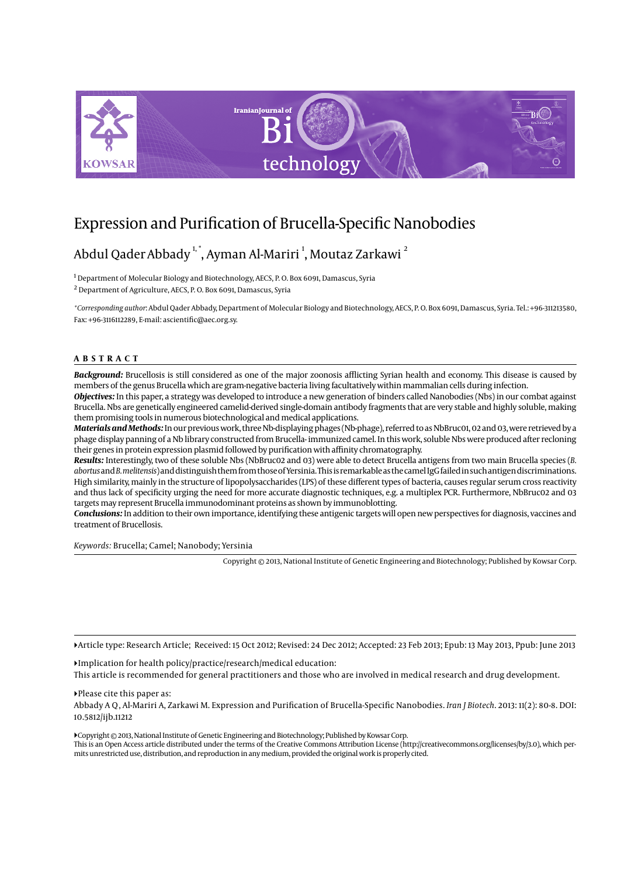

# Expression and Purification of Brucella-Specific Nanobodies

# Abdul Qader Abbady  $^{\text{1}, \text{*}}$ , Ayman Al-Mariri  $^{\text{1}}$ , Moutaz Zarkawi  $^{\text{2}}$

 $^{\rm 1}$  Department of Molecular Biology and Biotechnology, AECS, P. O. Box 6091, Damascus, Syria 2 Department of Agriculture, AECS, P. O. Box 6091, Damascus, Syria

*\*Corresponding author*: Abdul Qader Abbady, Department of Molecular Biology and Biotechnology, AECS, P. O. Box 6091, Damascus, Syria. Tel.: +96-311213580, Fax: +96-3116112289, E-mail: ascientific@aec.org.sy.

#### **ABSTRACT**

Background: Brucellosis is still considered as one of the major zoonosis afflicting Syrian health and economy. This disease is caused by members of the genus Brucella which are gram-negative bacteria living facultatively within mammalian cells during infection.

*Objectives:* In this paper, a strategy was developed to introduce a new generation of binders called Nanobodies (Nbs) in our combat against Brucella. Nbs are genetically engineered camelid-derived single-domain antibody fragments that are very stable and highly soluble, making them promising tools in numerous biotechnological and medical applications.

*Materials and Methods:* In our previous work, three Nb-displaying phages (Nb-phage), referred to as NbBruc01, 02 and 03, were retrieved by a phage display panning of a Nb library constructed from Brucella- immunized camel. In this work, soluble Nbs were produced after recloning their genes in protein expression plasmid followed by purification with affinity chromatography.

*Results:* Interestingly, two of these soluble Nbs (NbBruc02 and 03) were able to detect Brucella antigens from two main Brucella species (*B. abortus* and *B. melitensis*) and distinguish them from those of Yersinia. This is remarkable as the camel IgG failed in such antigen discriminations. High similarity, mainly in the structure of lipopolysaccharides (LPS) of these different types of bacteria, causes regular serum cross reactivity and thus lack of specificity urging the need for more accurate diagnostic techniques, e.g. a multiplex PCR. Furthermore, NbBruc02 and 03 targets may represent Brucella immunodominant proteins as shown by immunoblotting.

*Conclusions:* In addition to their own importance, identifying these antigenic targets will open new perspectives for diagnosis, vaccines and treatment of Brucellosis.

*Keywords:* Brucella; Camel; Nanobody; Yersinia

Copyright © 2013, National Institute of Genetic Engineering and Biotechnology; Published by Kowsar Corp.

Article type: Research Article; Received: 15 Oct 2012; Revised: 24 Dec 2012; Accepted: 23 Feb 2013; Epub: 13 May 2013, Ppub: June 2013

Implication for health policy/practice/research/medical education: This article is recommended for general practitioners and those who are involved in medical research and drug development.

Please cite this paper as: Abbady A Q , Al-Mariri A, Zarkawi M. Expression and Purification of Brucella-Specific Nanobodies. *Iran J Biotech*. 2013: 11(2): 80-8. DOI: 10.5812/ijb.11212

Copyright © 2013, National Institute of Genetic Engineering and Biotechnology; Published by Kowsar Corp. This is an Open Access article distributed under the terms of the Creative Commons Attribution License (http://creativecommons.org/licenses/by/3.0), which permits unrestricted use, distribution, and reproduction in any medium, provided the original work is properly cited.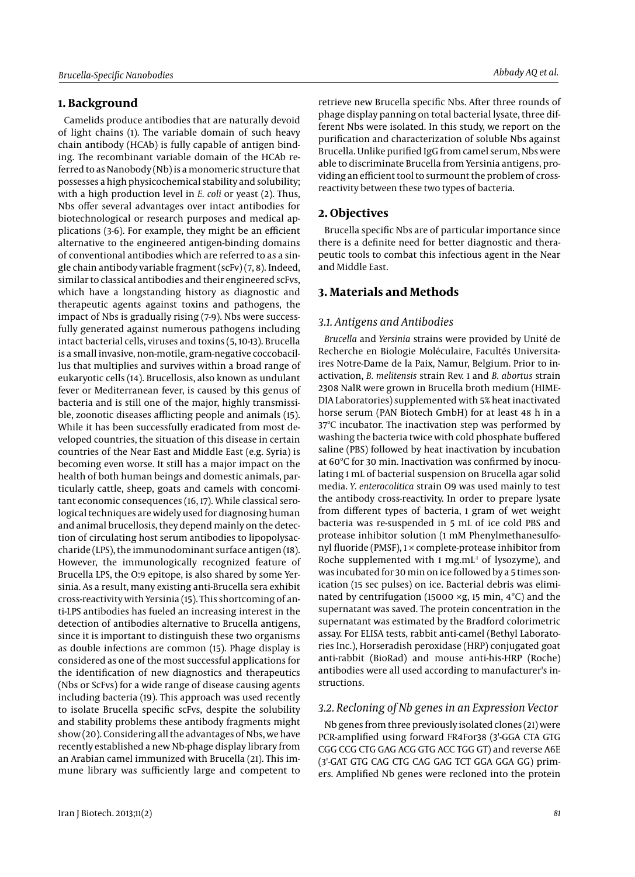# **1. Background**

Camelids produce antibodies that are naturally devoid of light chains (1). The variable domain of such heavy chain antibody (HCAb) is fully capable of antigen binding. The recombinant variable domain of the HCAb referred to as Nanobody (Nb) is a monomeric structure that possesses a high physicochemical stability and solubility; with a high production level in *E. coli* or yeast (2). Thus, Nbs offer several advantages over intact antibodies for biotechnological or research purposes and medical applications (3-6). For example, they might be an efficient alternative to the engineered antigen-binding domains of conventional antibodies which are referred to as a single chain antibody variable fragment (scFv) (7, 8). Indeed, similar to classical antibodies and their engineered scFvs, which have a longstanding history as diagnostic and therapeutic agents against toxins and pathogens, the impact of Nbs is gradually rising (7-9). Nbs were successfully generated against numerous pathogens including intact bacterial cells, viruses and toxins (5, 10-13). Brucella is a small invasive, non-motile, gram-negative coccobacillus that multiplies and survives within a broad range of eukaryotic cells (14). Brucellosis, also known as undulant fever or Mediterranean fever, is caused by this genus of bacteria and is still one of the major, highly transmissible, zoonotic diseases afflicting people and animals (15). While it has been successfully eradicated from most developed countries, the situation of this disease in certain countries of the Near East and Middle East (e.g. Syria) is becoming even worse. It still has a major impact on the health of both human beings and domestic animals, particularly cattle, sheep, goats and camels with concomitant economic consequences (16, 17). While classical serological techniques are widely used for diagnosing human and animal brucellosis, they depend mainly on the detection of circulating host serum antibodies to lipopolysaccharide (LPS), the immunodominant surface antigen (18). However, the immunologically recognized feature of Brucella LPS, the O:9 epitope, is also shared by some Yersinia. As a result, many existing anti-Brucella sera exhibit cross-reactivity with Yersinia (15). This shortcoming of anti-LPS antibodies has fueled an increasing interest in the detection of antibodies alternative to Brucella antigens, since it is important to distinguish these two organisms as double infections are common (15). Phage display is considered as one of the most successful applications for the identification of new diagnostics and therapeutics (Nbs or ScFvs) for a wide range of disease causing agents including bacteria (19). This approach was used recently to isolate Brucella specific scFvs, despite the solubility and stability problems these antibody fragments might show (20). Considering all the advantages of Nbs, we have recently established a new Nb-phage display library from an Arabian camel immunized with Brucella (21). This immune library was sufficiently large and competent to

retrieve new Brucella specific Nbs. After three rounds of phage display panning on total bacterial lysate, three different Nbs were isolated. In this study, we report on the purification and characterization of soluble Nbs against Brucella. Unlike purified IgG from camel serum, Nbs were able to discriminate Brucella from Yersinia antigens, providing an efficient tool to surmount the problem of crossreactivity between these two types of bacteria.

# **2. Objectives**

Brucella specific Nbs are of particular importance since there is a definite need for better diagnostic and therapeutic tools to combat this infectious agent in the Near and Middle East.

# **3. Materials and Methods**

# *3.1. Antigens and Antibodies*

*Brucella* and *Yersinia* strains were provided by Unité de Recherche en Biologie Moléculaire, Facultés Universitaires Notre-Dame de la Paix, Namur, Belgium. Prior to inactivation, *B. melitensis* strain Rev. 1 and *B. abortus* strain 2308 NalR were grown in Brucella broth medium (HIME-DIA Laboratories) supplemented with 5% heat inactivated horse serum (PAN Biotech GmbH) for at least 48 h in a 37ºC incubator. The inactivation step was performed by washing the bacteria twice with cold phosphate buffered saline (PBS) followed by heat inactivation by incubation at 60ºC for 30 min. Inactivation was confirmed by inoculating 1 mL of bacterial suspension on Brucella agar solid media. *Y. enterocolitica* strain O9 was used mainly to test the antibody cross-reactivity. In order to prepare lysate from different types of bacteria, 1 gram of wet weight bacteria was re-suspended in 5 mL of ice cold PBS and protease inhibitor solution (1 mM Phenylmethanesulfonyl fluoride (PMSF),  $1 \times$  complete-protease inhibitor from Roche supplemented with 1 mg.mL $<sup>1</sup>$  of lysozyme), and</sup> was incubated for 30 min on ice followed by a 5 times sonication (15 sec pulses) on ice. Bacterial debris was eliminated by centrifugation (15000 ×g, 15 min, 4°C) and the supernatant was saved. The protein concentration in the supernatant was estimated by the Bradford colorimetric assay. For ELISA tests, rabbit anti-camel (Bethyl Laboratories Inc.), Horseradish peroxidase (HRP) conjugated goat anti-rabbit (BioRad) and mouse anti-his-HRP (Roche) antibodies were all used according to manufacturer's instructions.

## *3.2. Recloning of Nb genes in an Expression Vector*

Nb genes from three previously isolated clones (21) were PCR-amplified using forward FR4For38 (3'-GGA CTA GTG CGG CCG CTG GAG ACG GTG ACC TGG GT) and reverse A6E (3'-GAT GTG CAG CTG CAG GAG TCT GGA GGA GG) primers. Amplified Nb genes were recloned into the protein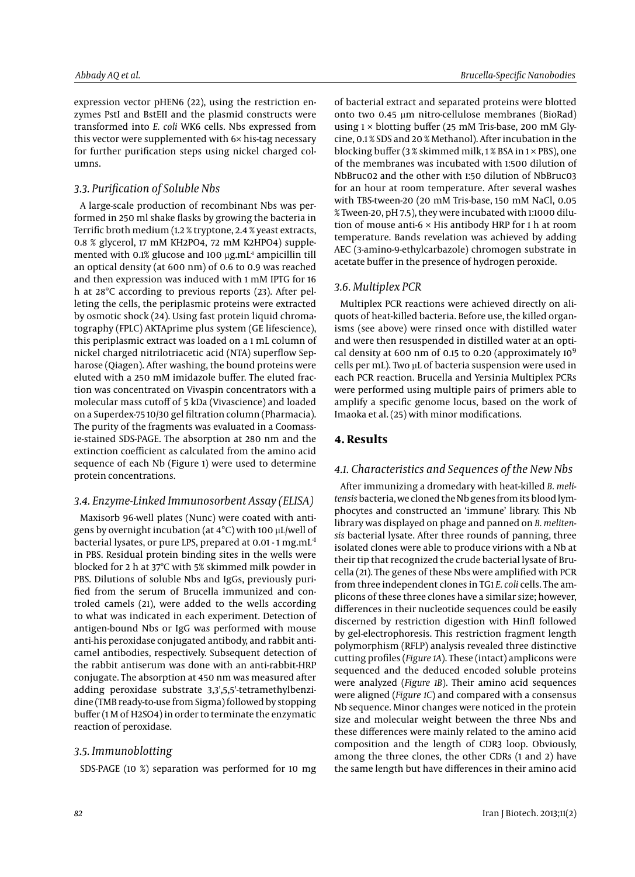expression vector pHEN6 (22), using the restriction enzymes PstI and BstEII and the plasmid constructs were transformed into *E. coli* WK6 cells. Nbs expressed from this vector were supplemented with 6× his-tag necessary for further purification steps using nickel charged columns.

## *3.3. Purification of Soluble Nbs*

A large-scale production of recombinant Nbs was performed in 250 ml shake flasks by growing the bacteria in Terrific broth medium (1.2 % tryptone, 2.4 % yeast extracts, 0.8 % glycerol, 17 mM KH2PO4, 72 mM K2HPO4) supplemented with 0.1% glucose and 100  $\mu$ g.mL<sup>1</sup> ampicillin till an optical density (at 600 nm) of 0.6 to 0.9 was reached and then expression was induced with 1 mM IPTG for 16 h at 28°C according to previous reports (23). After pelleting the cells, the periplasmic proteins were extracted by osmotic shock (24). Using fast protein liquid chromatography (FPLC) AKTAprime plus system (GE lifescience), this periplasmic extract was loaded on a 1 mL column of nickel charged nitrilotriacetic acid (NTA) superflow Sepharose (Qiagen). After washing, the bound proteins were eluted with a 250 mM imidazole buffer. The eluted fraction was concentrated on Vivaspin concentrators with a molecular mass cutoff of 5 kDa (Vivascience) and loaded on a Superdex-75 10/30 gel filtration column (Pharmacia). The purity of the fragments was evaluated in a Coomassie-stained SDS-PAGE. The absorption at 280 nm and the extinction coefficient as calculated from the amino acid sequence of each Nb (Figure 1) were used to determine protein concentrations.

# *3.4. Enzyme-Linked Immunosorbent Assay (ELISA)*

Maxisorb 96-well plates (Nunc) were coated with antigens by overnight incubation (at 4°C) with 100 µL/well of bacterial lysates, or pure LPS, prepared at 0.01 - 1 mg.mL<sup>-1</sup> in PBS. Residual protein binding sites in the wells were blocked for 2 h at 37ºC with 5% skimmed milk powder in PBS. Dilutions of soluble Nbs and IgGs, previously purified from the serum of Brucella immunized and controled camels (21), were added to the wells according to what was indicated in each experiment. Detection of antigen-bound Nbs or IgG was performed with mouse anti-his peroxidase conjugated antibody, and rabbit anticamel antibodies, respectively. Subsequent detection of the rabbit antiserum was done with an anti-rabbit-HRP conjugate. The absorption at 450 nm was measured after adding peroxidase substrate 3,3',5,5'-tetramethylbenzidine (TMB ready-to-use from Sigma) followed by stopping buffer (1 M of H2SO4) in order to terminate the enzymatic reaction of peroxidase.

## *3.5. Immunoblotting*

SDS-PAGE (10 %) separation was performed for 10 mg

of bacterial extract and separated proteins were blotted onto two 0.45 µm nitro-cellulose membranes (BioRad) using  $1 \times$  blotting buffer (25 mM Tris-base, 200 mM Glycine, 0.1 % SDS and 20 % Methanol). After incubation in the blocking buffer (3 % skimmed milk, 1 % BSA in  $1 \times$  PBS), one of the membranes was incubated with 1:500 dilution of NbBruc02 and the other with 1:50 dilution of NbBruc03 for an hour at room temperature. After several washes with TBS-tween-20 (20 mM Tris-base, 150 mM NaCl, 0.05 % Tween-20, pH 7.5), they were incubated with 1:1000 dilution of mouse anti-6 × His antibody HRP for 1 h at room temperature. Bands revelation was achieved by adding AEC (3-amino-9-ethylcarbazole) chromogen substrate in acetate buffer in the presence of hydrogen peroxide.

## *3.6. Multiplex PCR*

Multiplex PCR reactions were achieved directly on aliquots of heat-killed bacteria. Before use, the killed organisms (see above) were rinsed once with distilled water and were then resuspended in distilled water at an optical density at 600 nm of 0.15 to 0.20 (approximately  $10^9$ cells per mL). Two µL of bacteria suspension were used in each PCR reaction. Brucella and Yersinia Multiplex PCRs were performed using multiple pairs of primers able to amplify a specific genome locus, based on the work of Imaoka et al. (25) with minor modifications.

# **4. Results**

#### *4.1. Characteristics and Sequences of the New Nbs*

After immunizing a dromedary with heat-killed *B. melitensis* bacteria, we cloned the Nb genes from its blood lymphocytes and constructed an 'immune' library. This Nb library was displayed on phage and panned on *B. melitensis* bacterial lysate. After three rounds of panning, three isolated clones were able to produce virions with a Nb at their tip that recognized the crude bacterial lysate of Brucella (21). The genes of these Nbs were amplified with PCR from three independent clones in TG1 *E. coli* cells. The amplicons of these three clones have a similar size; however, differences in their nucleotide sequences could be easily discerned by restriction digestion with HinfI followed by gel-electrophoresis. This restriction fragment length polymorphism (RFLP) analysis revealed three distinctive cutting profiles (*Figure 1A*). These (intact) amplicons were sequenced and the deduced encoded soluble proteins were analyzed (*Figure 1B*). Their amino acid sequences were aligned (*Figure 1C*) and compared with a consensus Nb sequence. Minor changes were noticed in the protein size and molecular weight between the three Nbs and these differences were mainly related to the amino acid composition and the length of CDR3 loop. Obviously, among the three clones, the other CDRs (1 and 2) have the same length but have differences in their amino acid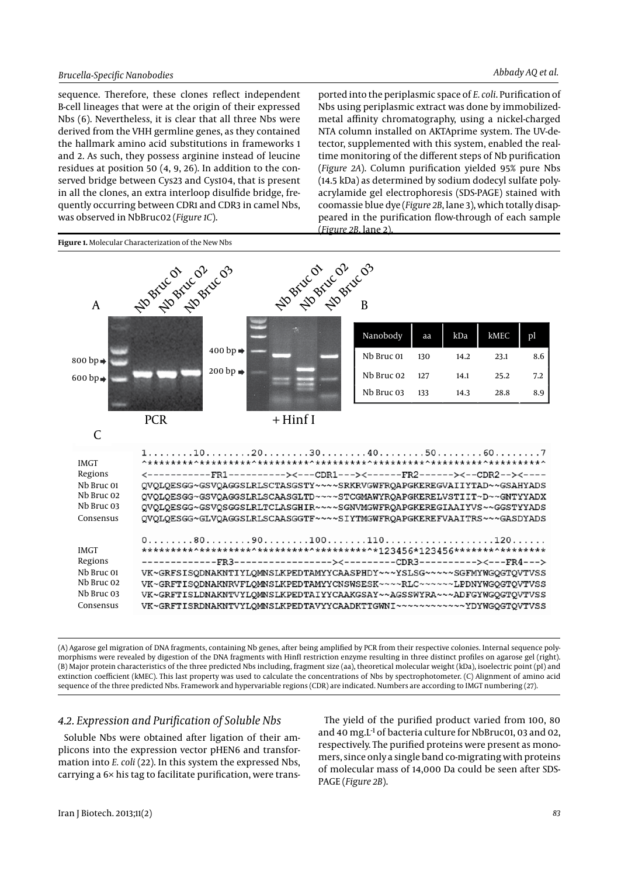sequence. Therefore, these clones reflect independent B-cell lineages that were at the origin of their expressed Nbs (6). Nevertheless, it is clear that all three Nbs were derived from the VHH germline genes, as they contained the hallmark amino acid substitutions in frameworks 1 and 2. As such, they possess arginine instead of leucine residues at position 50 (4, 9, 26). In addition to the conserved bridge between Cys23 and Cys104, that is present in all the clones, an extra interloop disulfide bridge, frequently occurring between CDR1 and CDR3 in camel Nbs, was observed in NbBruc02 (*Figure 1C*).

ported into the periplasmic space of *E. coli*. Purification of Nbs using periplasmic extract was done by immobilizedmetal affinity chromatography, using a nickel-charged NTA column installed on AKTAprime system. The UV-detector, supplemented with this system, enabled the realtime monitoring of the different steps of Nb purification (*Figure 2A*). Column purification yielded 95% pure Nbs (14.5 kDa) as determined by sodium dodecyl sulfate polyacrylamide gel electrophoresis (SDS-PAGE) stained with coomassie blue dye (*Figure 2B*, lane 3), which totally disappeared in the purification flow-through of each sample (*Figure 2B*, lane 2).



(A) Agarose gel migration of DNA fragments, containing Nb genes, after being amplified by PCR from their respective colonies. Internal sequence polymorphisms were revealed by digestion of the DNA fragments with HinfI restriction enzyme resulting in three distinct profiles on agarose gel (right). (B) Major protein characteristics of the three predicted Nbs including, fragment size (aa), theoretical molecular weight (kDa), isoelectric point (pI) and extinction coefficient (kMEC). This last property was used to calculate the concentrations of Nbs by spectrophotometer. (C) Alignment of amino acid sequence of the three predicted Nbs. Framework and hypervariable regions (CDR) are indicated. Numbers are according to IMGT numbering (27).

# *4.2. Expression and Purification of Soluble Nbs*

Soluble Nbs were obtained after ligation of their amplicons into the expression vector pHEN6 and transformation into *E. coli* (22). In this system the expressed Nbs, carrying a 6× his tag to facilitate purification, were trans-

The yield of the purified product varied from 100, 80 and 40 mg.L<sup>-1</sup> of bacteria culture for NbBruc01, 03 and 02, respectively. The purified proteins were present as monomers, since only a single band co-migrating with proteins of molecular mass of 14,000 Da could be seen after SDS-PAGE (*Figure 2B*).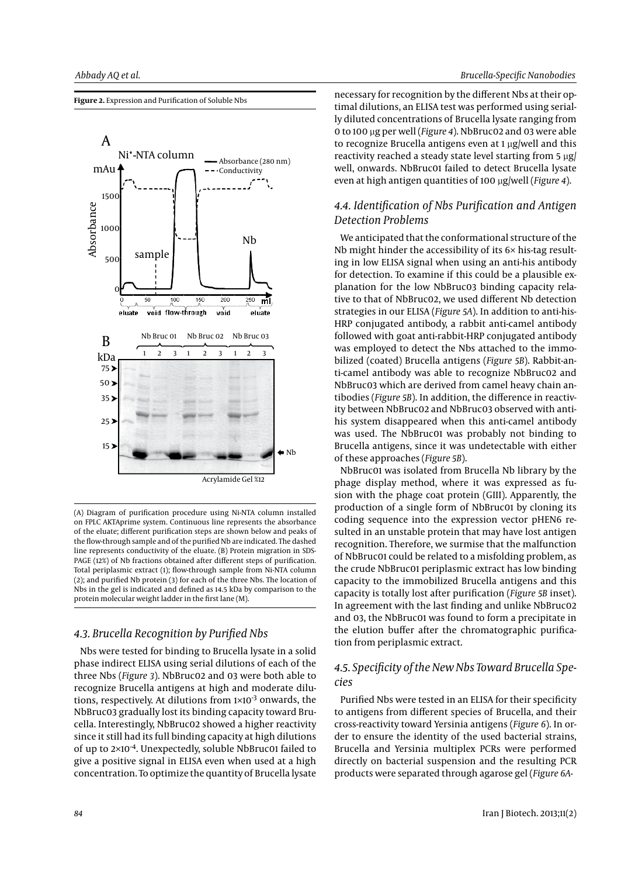**Figure 2.** Expression and Purification of Soluble Nbs



(A) Diagram of purification procedure using Ni-NTA column installed on FPLC AKTAprime system. Continuous line represents the absorbance of the eluate; different purification steps are shown below and peaks of the flow-through sample and of the purified Nb are indicated. The dashed line represents conductivity of the eluate. (B) Protein migration in SDS-PAGE (12%) of Nb fractions obtained after different steps of purification. Total periplasmic extract (1); flow-through sample from Ni-NTA column (2); and purified Nb protein (3) for each of the three Nbs. The location of Nbs in the gel is indicated and defined as 14.5 kDa by comparison to the protein molecular weight ladder in the first lane (M).

# *4.3. Brucella Recognition by Purified Nbs*

Nbs were tested for binding to Brucella lysate in a solid phase indirect ELISA using serial dilutions of each of the three Nbs (*Figure 3*). NbBruc02 and 03 were both able to recognize Brucella antigens at high and moderate dilutions, respectively. At dilutions from 1×10<sup>-3</sup> onwards, the NbBruc03 gradually lost its binding capacity toward Brucella. Interestingly, NbBruc02 showed a higher reactivity since it still had its full binding capacity at high dilutions of up to 2×10-4. Unexpectedly, soluble NbBruc01 failed to give a positive signal in ELISA even when used at a high concentration. To optimize the quantity of Brucella lysate necessary for recognition by the different Nbs at their optimal dilutions, an ELISA test was performed using serially diluted concentrations of Brucella lysate ranging from 0 to 100 µg per well (*Figure 4*). NbBruc02 and 03 were able to recognize Brucella antigens even at 1 µg/well and this reactivity reached a steady state level starting from 5 µg/ well, onwards. NbBruc01 failed to detect Brucella lysate even at high antigen quantities of 100 µg/well (*Figure 4*).

# *4.4. Identification of Nbs Purification and Antigen Detection Problems*

We anticipated that the conformational structure of the Nb might hinder the accessibility of its 6× his-tag resulting in low ELISA signal when using an anti-his antibody for detection. To examine if this could be a plausible explanation for the low NbBruc03 binding capacity relative to that of NbBruc02, we used different Nb detection strategies in our ELISA (*Figure 5A*). In addition to anti-his-HRP conjugated antibody, a rabbit anti-camel antibody followed with goat anti-rabbit-HRP conjugated antibody was employed to detect the Nbs attached to the immobilized (coated) Brucella antigens (*Figure 5B*). Rabbit-anti-camel antibody was able to recognize NbBruc02 and NbBruc03 which are derived from camel heavy chain antibodies (*Figure 5B*). In addition, the difference in reactivity between NbBruc02 and NbBruc03 observed with antihis system disappeared when this anti-camel antibody was used. The NbBruc01 was probably not binding to Brucella antigens, since it was undetectable with either of these approaches (*Figure 5B*).

NbBruc01 was isolated from Brucella Nb library by the phage display method, where it was expressed as fusion with the phage coat protein (GIII). Apparently, the production of a single form of NbBruc01 by cloning its coding sequence into the expression vector pHEN6 resulted in an unstable protein that may have lost antigen recognition. Therefore, we surmise that the malfunction of NbBruc01 could be related to a misfolding problem, as the crude NbBruc01 periplasmic extract has low binding capacity to the immobilized Brucella antigens and this capacity is totally lost after purification (*Figure 5B* inset). In agreement with the last finding and unlike NbBruc02 and 03, the NbBruc01 was found to form a precipitate in the elution buffer after the chromatographic purification from periplasmic extract.

# *4.5. Specificity of the New Nbs Toward Brucella Species*

Purified Nbs were tested in an ELISA for their specificity to antigens from different species of Brucella, and their cross-reactivity toward Yersinia antigens (*Figure 6*). In order to ensure the identity of the used bacterial strains, Brucella and Yersinia multiplex PCRs were performed directly on bacterial suspension and the resulting PCR products were separated through agarose gel (*Figure 6A-*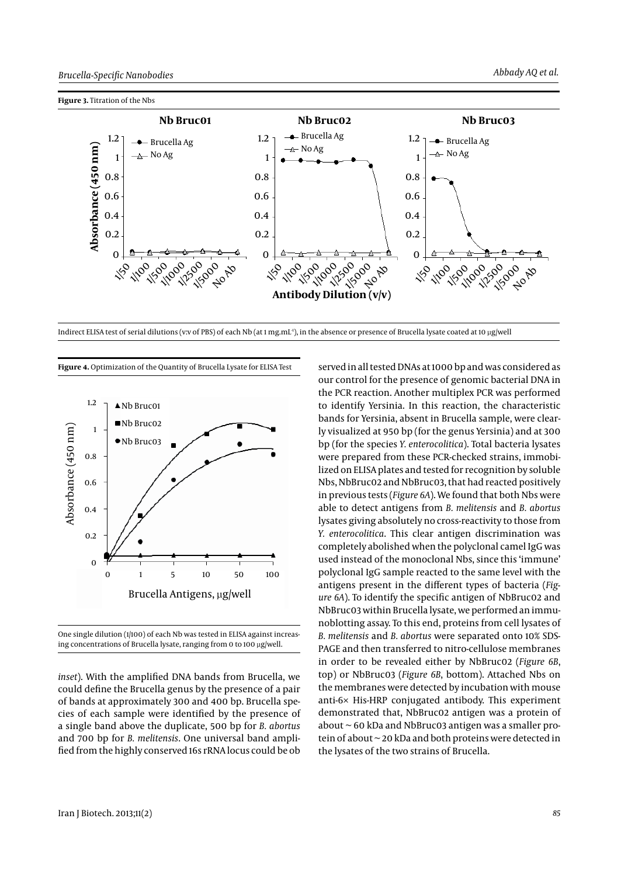

Indirect ELISA test of serial dilutions (v:v of PBS) of each Nb (at 1 mg,mL<sup>+</sup>), in the absence or presence of Brucella lysate coated at 10 µg/well



**Figure 4.** Optimization of the Quantity of Brucella Lysate for ELISA Test

One single dilution (1/100) of each Nb was tested in ELISA against increasing concentrations of Brucella lysate, ranging from 0 to 100 µg/well.

*inset*). With the amplified DNA bands from Brucella, we could define the Brucella genus by the presence of a pair of bands at approximately 300 and 400 bp. Brucella species of each sample were identified by the presence of a single band above the duplicate, 500 bp for *B. abortus* and 700 bp for *B. melitensis*. One universal band amplified from the highly conserved 16s rRNA locus could be ob

served in all tested DNAs at 1000 bp and was considered as our control for the presence of genomic bacterial DNA in the PCR reaction. Another multiplex PCR was performed to identify Yersinia. In this reaction, the characteristic bands for Yersinia, absent in Brucella sample, were clearly visualized at 950 bp (for the genus Yersinia) and at 300 bp (for the species *Y. enterocolitica*). Total bacteria lysates were prepared from these PCR-checked strains, immobilized on ELISA plates and tested for recognition by soluble Nbs, NbBruc02 and NbBruc03, that had reacted positively in previous tests (*Figure 6A*). We found that both Nbs were able to detect antigens from *B. melitensis* and *B. abortus* lysates giving absolutely no cross-reactivity to those from *Y. enterocolitica*. This clear antigen discrimination was completely abolished when the polyclonal camel IgG was used instead of the monoclonal Nbs, since this 'immune' polyclonal IgG sample reacted to the same level with the antigens present in the different types of bacteria (*Figure 6A*). To identify the specific antigen of NbBruc02 and NbBruc03 within Brucella lysate, we performed an immunoblotting assay. To this end, proteins from cell lysates of *B. melitensis* and *B. abortus* were separated onto 10% SDS-PAGE and then transferred to nitro-cellulose membranes in order to be revealed either by NbBruc02 (*Figure 6B*, top) or NbBruc03 (*Figure 6B*, bottom). Attached Nbs on the membranes were detected by incubation with mouse anti-6× His-HRP conjugated antibody. This experiment demonstrated that, NbBruc02 antigen was a protein of about ~ 60 kDa and NbBruc03 antigen was a smaller protein of about ~ 20 kDa and both proteins were detected in the lysates of the two strains of Brucella.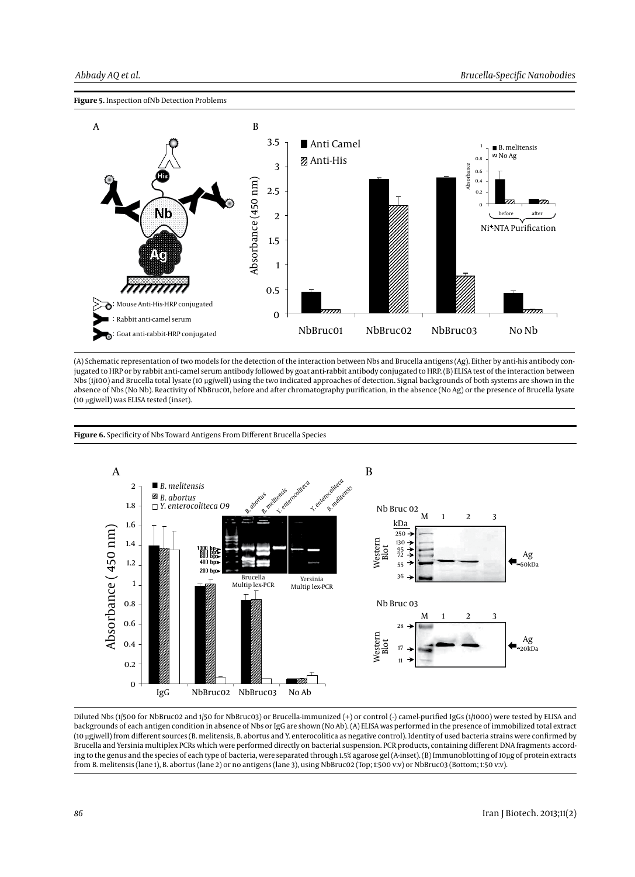



(A) Schematic representation of two models for the detection of the interaction between Nbs and Brucella antigens (Ag). Either by anti-his antibody conjugated to HRP or by rabbit anti-camel serum antibody followed by goat anti-rabbit antibody conjugated to HRP. (B) ELISA test of the interaction between Nbs (1/100) and Brucella total lysate (10 µg/well) using the two indicated approaches of detection. Signal backgrounds of both systems are shown in the absence of Nbs (No Nb). Reactivity of NbBruc01, before and after chromatography purification, in the absence (No Ag) or the presence of Brucella lysate (10 µg/well) was ELISA tested (inset).

#### **Figure 6.** Specificity of Nbs Toward Antigens From Different Brucella Species



Diluted Nbs (1/500 for NbBruc02 and 1/50 for NbBruc03) or Brucella-immunized (+) or control (-) camel-purified IgGs (1/1000) were tested by ELISA and backgrounds of each antigen condition in absence of Nbs or IgG are shown (No Ab). (A) ELISA was performed in the presence of immobilized total extract (10 µg/well) from different sources (B. melitensis, B. abortus and Y. enterocolitica as negative control). Identity of used bacteria strains were confirmed by Brucella and Yersinia multiplex PCRs which were performed directly on bacterial suspension. PCR products, containing different DNA fragments according to the genus and the species of each type of bacteria, were separated through 1.5% agarose gel (A-inset). (B) Immunoblotting of 10µg of protein extracts from B. melitensis (lane 1), B. abortus (lane 2) or no antigens (lane 3), using NbBruc02 (Top; 1:500 v:v) or NbBruc03 (Bottom; 1:50 v:v).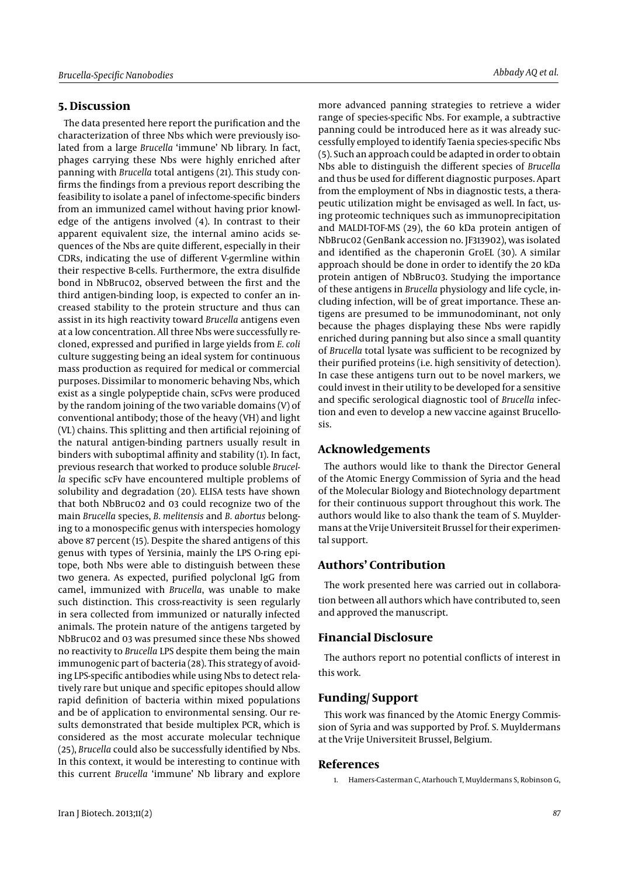# **5. Discussion**

The data presented here report the purification and the characterization of three Nbs which were previously isolated from a large *Brucella* 'immune' Nb library. In fact, phages carrying these Nbs were highly enriched after panning with *Brucella* total antigens (21). This study confirms the findings from a previous report describing the feasibility to isolate a panel of infectome-specific binders from an immunized camel without having prior knowledge of the antigens involved (4). In contrast to their apparent equivalent size, the internal amino acids sequences of the Nbs are quite different, especially in their CDRs, indicating the use of different V-germline within their respective B-cells. Furthermore, the extra disulfide bond in NbBruc02, observed between the first and the third antigen-binding loop, is expected to confer an increased stability to the protein structure and thus can assist in its high reactivity toward *Brucella* antigens even at a low concentration. All three Nbs were successfully recloned, expressed and purified in large yields from *E. coli* culture suggesting being an ideal system for continuous mass production as required for medical or commercial purposes. Dissimilar to monomeric behaving Nbs, which exist as a single polypeptide chain, scFvs were produced by the random joining of the two variable domains (V) of conventional antibody; those of the heavy (VH) and light (VL) chains. This splitting and then artificial rejoining of the natural antigen-binding partners usually result in binders with suboptimal affinity and stability (1). In fact, previous research that worked to produce soluble *Brucella* specific scFv have encountered multiple problems of solubility and degradation (20). ELISA tests have shown that both NbBruc02 and 03 could recognize two of the main *Brucella* species, *B. melitensis* and *B. abortus* belonging to a monospecific genus with interspecies homology above 87 percent (15). Despite the shared antigens of this genus with types of Yersinia, mainly the LPS O-ring epitope, both Nbs were able to distinguish between these two genera. As expected, purified polyclonal IgG from camel, immunized with *Brucella*, was unable to make such distinction. This cross-reactivity is seen regularly in sera collected from immunized or naturally infected animals. The protein nature of the antigens targeted by NbBruc02 and 03 was presumed since these Nbs showed no reactivity to *Brucella* LPS despite them being the main immunogenic part of bacteria (28). This strategy of avoiding LPS-specific antibodies while using Nbs to detect relatively rare but unique and specific epitopes should allow rapid definition of bacteria within mixed populations and be of application to environmental sensing. Our results demonstrated that beside multiplex PCR, which is considered as the most accurate molecular technique (25), *Brucella* could also be successfully identified by Nbs. In this context, it would be interesting to continue with this current *Brucella* 'immune' Nb library and explore

more advanced panning strategies to retrieve a wider range of species-specific Nbs. For example, a subtractive panning could be introduced here as it was already successfully employed to identify Taenia species-specific Nbs (5). Such an approach could be adapted in order to obtain Nbs able to distinguish the different species of *Brucella* and thus be used for different diagnostic purposes. Apart from the employment of Nbs in diagnostic tests, a therapeutic utilization might be envisaged as well. In fact, using proteomic techniques such as immunoprecipitation and MALDI-TOF-MS (29), the 60 kDa protein antigen of NbBruc02 (GenBank accession no. JF313902), was isolated and identified as the chaperonin GroEL (30). A similar approach should be done in order to identify the 20 kDa protein antigen of NbBruc03. Studying the importance of these antigens in *Brucella* physiology and life cycle, including infection, will be of great importance. These antigens are presumed to be immunodominant, not only because the phages displaying these Nbs were rapidly enriched during panning but also since a small quantity of *Brucella* total lysate was sufficient to be recognized by their purified proteins (i.e. high sensitivity of detection). In case these antigens turn out to be novel markers, we could invest in their utility to be developed for a sensitive and specific serological diagnostic tool of *Brucella* infection and even to develop a new vaccine against Brucellosis.

# **Acknowledgements**

The authors would like to thank the Director General of the Atomic Energy Commission of Syria and the head of the Molecular Biology and Biotechnology department for their continuous support throughout this work. The authors would like to also thank the team of S. Muyldermans at the Vrije Universiteit Brussel for their experimental support.

## **Authors' Contribution**

The work presented here was carried out in collaboration between all authors which have contributed to, seen and approved the manuscript.

## **Financial Disclosure**

The authors report no potential conflicts of interest in this work.

# **Funding/ Support**

This work was financed by the Atomic Energy Commission of Syria and was supported by Prof. S. Muyldermans at the Vrije Universiteit Brussel, Belgium.

#### **References**

1. Hamers-Casterman C, Atarhouch T, Muyldermans S, Robinson G,